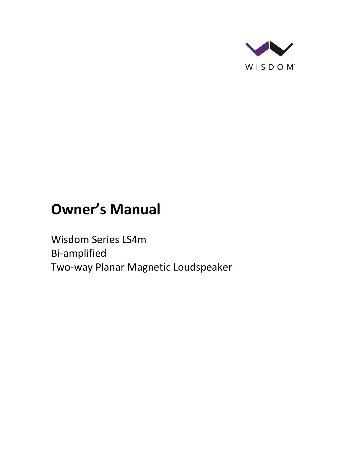

# **Owner's Manual**

Wisdom Series LS4m Bi-amplified Two-way Planar Magnetic Loudspeaker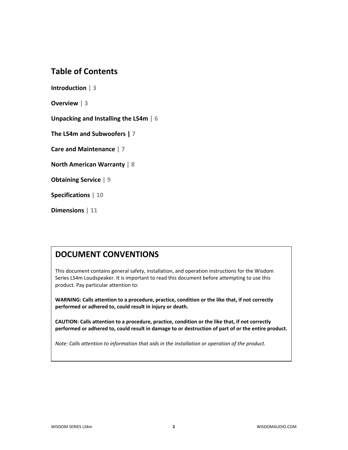## **Table of Contents**

**Introduction | 3**

**Overview | 3**

**Unpacking and Installing the LS4m | 6**

**The LS4m and Subwoofers | 7**

**Care and Maintenance | 7**

**North American Warranty | 8**

**Obtaining Service | 9**

**Specifications | 10**

**Dimensions | 11**

## **DOCUMENT CONVENTIONS**

This document contains general safety, installation, and operation instructions for the Wisdom Series LS4m Loudspeaker. It is important to read this document before attempting to use this product. Pay particular attention to:

**WARNING: Calls attention to a procedure, practice, condition or the like that, if not correctly performed or adhered to, could result in injury or death.** 

**CAUTION: Calls attention to a procedure, practice, condition or the like that, if not correctly performed or adhered to, could result in damage to or destruction of part of or the entire product.** 

*Note: Calls attention to information that aids in the installation or operation of the product.*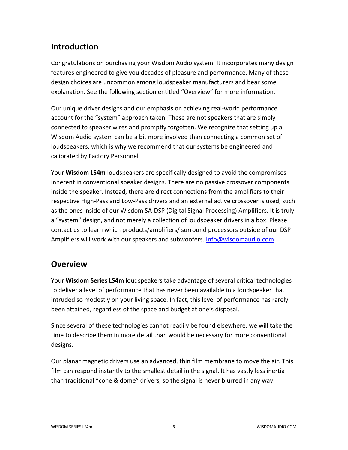## **Introduction**

Congratulations on purchasing your Wisdom Audio system. It incorporates many design features engineered to give you decades of pleasure and performance. Many of these design choices are uncommon among loudspeaker manufacturers and bear some explanation. See the following section entitled "Overview" for more information.

Our unique driver designs and our emphasis on achieving real-world performance account for the "system" approach taken. These are not speakers that are simply connected to speaker wires and promptly forgotten. We recognize that setting up a Wisdom Audio system can be a bit more involved than connecting a common set of loudspeakers, which is why we recommend that our systems be engineered and calibrated by Factory Personnel

Your **Wisdom LS4m** loudspeakers are specifically designed to avoid the compromises inherent in conventional speaker designs. There are no passive crossover components inside the speaker. Instead, there are direct connections from the amplifiers to their respective High-Pass and Low-Pass drivers and an external active crossover is used, such as the ones inside of our Wisdom SA-DSP (Digital Signal Processing) Amplifiers. It is truly a "system" design, and not merely a collection of loudspeaker drivers in a box. Please contact us to learn which products/amplifiers/ surround processors outside of our DSP Amplifiers will work with our speakers and subwoofers. [Info@wisdomaudio.com](mailto:Info@wisdomaudio.com)

## **Overview**

Your **Wisdom Series LS4m** loudspeakers take advantage of several critical technologies to deliver a level of performance that has never been available in a loudspeaker that intruded so modestly on your living space. In fact, this level of performance has rarely been attained, regardless of the space and budget at one's disposal.

Since several of these technologies cannot readily be found elsewhere, we will take the time to describe them in more detail than would be necessary for more conventional designs.

Our planar magnetic drivers use an advanced, thin film membrane to move the air. This film can respond instantly to the smallest detail in the signal. It has vastly less inertia than traditional "cone & dome" drivers, so the signal is never blurred in any way.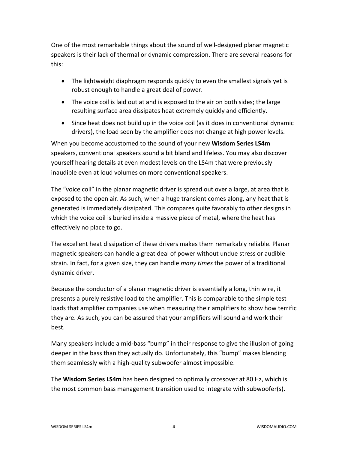One of the most remarkable things about the sound of well-designed planar magnetic speakers is their lack of thermal or dynamic compression. There are several reasons for this:

- The lightweight diaphragm responds quickly to even the smallest signals yet is robust enough to handle a great deal of power.
- The voice coil is laid out at and is exposed to the air on both sides; the large resulting surface area dissipates heat extremely quickly and efficiently.
- Since heat does not build up in the voice coil (as it does in conventional dynamic drivers), the load seen by the amplifier does not change at high power levels.

When you become accustomed to the sound of your new **Wisdom Series LS4m** speakers, conventional speakers sound a bit bland and lifeless. You may also discover yourself hearing details at even modest levels on the LS4m that were previously inaudible even at loud volumes on more conventional speakers.

The "voice coil" in the planar magnetic driver is spread out over a large, at area that is exposed to the open air. As such, when a huge transient comes along, any heat that is generated is immediately dissipated. This compares quite favorably to other designs in which the voice coil is buried inside a massive piece of metal, where the heat has effectively no place to go.

The excellent heat dissipation of these drivers makes them remarkably reliable. Planar magnetic speakers can handle a great deal of power without undue stress or audible strain. In fact, for a given size, they can handle *many times* the power of a traditional dynamic driver.

Because the conductor of a planar magnetic driver is essentially a long, thin wire, it presents a purely resistive load to the amplifier. This is comparable to the simple test loads that amplifier companies use when measuring their amplifiers to show how terrific they are. As such, you can be assured that your amplifiers will sound and work their best.

Many speakers include a mid-bass "bump" in their response to give the illusion of going deeper in the bass than they actually do. Unfortunately, this "bump" makes blending them seamlessly with a high-quality subwoofer almost impossible.

The **Wisdom Series LS4m** has been designed to optimally crossover at 80 Hz, which is the most common bass management transition used to integrate with subwoofer(s)**.**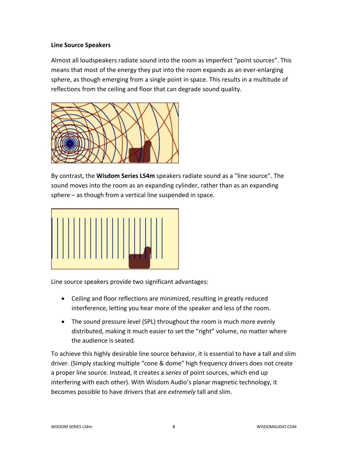#### **Line Source Speakers**

Almost all loudspeakers radiate sound into the room as imperfect "point sources". This means that most of the energy they put into the room expands as an ever-enlarging sphere, as though emerging from a single point in space. This results in a multitude of reflections from the ceiling and floor that can degrade sound quality.



By contrast, the **Wisdom Series LS4m** speakers radiate sound as a "line source". The sound moves into the room as an expanding cylinder, rather than as an expanding sphere – as though from a vertical line suspended in space.



Line source speakers provide two significant advantages:

- Ceiling and floor reflections are minimized, resulting in greatly reduced interference, letting you hear more of the speaker and less of the room.
- The sound pressure level (SPL) throughout the room is much more evenly distributed, making it much easier to set the "right" volume, no matter where the audience is seated.

To achieve this highly desirable line source behavior, it is essential to have a tall and slim driver. (Simply stacking multiple "cone & dome" high frequency drivers does not create a proper line source. Instead, it creates a *series* of point sources, which end up interfering with each other). With Wisdom Audio's planar magnetic technology, it becomes possible to have drivers that are *extremely* tall and slim.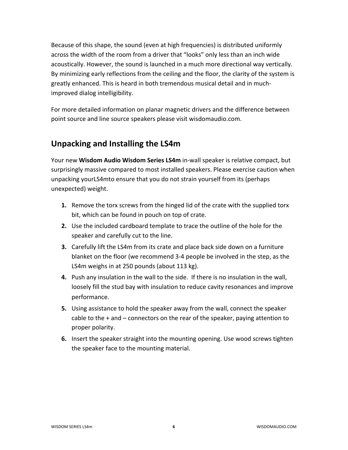Because of this shape, the sound (even at high frequencies) is distributed uniformly across the width of the room from a driver that "looks" only less than an inch wide acoustically. However, the sound is launched in a much more directional way vertically. By minimizing early reflections from the ceiling and the floor, the clarity of the system is greatly enhanced. This is heard in both tremendous musical detail and in muchimproved dialog intelligibility.

For more detailed information on planar magnetic drivers and the difference between point source and line source speakers please visit wisdomaudio.com.

## **Unpacking and Installing the LS4m**

Your new **Wisdom Audio Wisdom Series LS4m** in-wall speaker is relative compact, but surprisingly massive compared to most installed speakers. Please exercise caution when unpacking yourLS4mto ensure that you do not strain yourself from its (perhaps unexpected) weight.

- **1.** Remove the torx screws from the hinged lid of the crate with the supplied torx bit, which can be found in pouch on top of crate.
- **2.** Use the included cardboard template to trace the outline of the hole for the speaker and carefully cut to the line.
- **3.** Carefully lift the LS4m from its crate and place back side down on a furniture blanket on the floor (we recommend 3-4 people be involved in the step, as the LS4m weighs in at 250 pounds (about 113 kg).
- **4.** Push any insulation in the wall to the side. If there is no insulation in the wall, loosely fill the stud bay with insulation to reduce cavity resonances and improve performance.
- **5.** Using assistance to hold the speaker away from the wall, connect the speaker cable to the + and – connectors on the rear of the speaker, paying attention to proper polarity.
- **6.** Insert the speaker straight into the mounting opening. Use wood screws tighten the speaker face to the mounting material.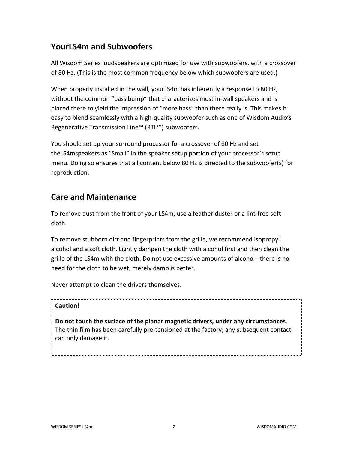## **YourLS4m and Subwoofers**

All Wisdom Series loudspeakers are optimized for use with subwoofers, with a crossover of 80 Hz. (This is the most common frequency below which subwoofers are used.)

When properly installed in the wall, yourLS4m has inherently a response to 80 Hz, without the common "bass bump" that characterizes most in-wall speakers and is placed there to yield the impression of "more bass" than there really is. This makes it easy to blend seamlessly with a high-quality subwoofer such as one of Wisdom Audio's Regenerative Transmission Line™ (RTL™) subwoofers.

You should set up your surround processor for a crossover of 80 Hz and set theLS4mspeakers as "Small" in the speaker setup portion of your processor's setup menu. Doing so ensures that all content below 80 Hz is directed to the subwoofer(s) for reproduction.

## **Care and Maintenance**

To remove dust from the front of your LS4m, use a feather duster or a lint-free soft cloth.

To remove stubborn dirt and fingerprints from the grille, we recommend isopropyl alcohol and a soft cloth. Lightly dampen the cloth with alcohol first and then clean the grille of the LS4m with the cloth. Do not use excessive amounts of alcohol –there is no need for the cloth to be wet; merely damp is better.

Never attempt to clean the drivers themselves.

## **Caution!**

**Do not touch the surface of the planar magnetic drivers, under any circumstances**. The thin film has been carefully pre-tensioned at the factory; any subsequent contact can only damage it.

WISDOM SERIES LS4m **7** WISDOMAUDIO.COM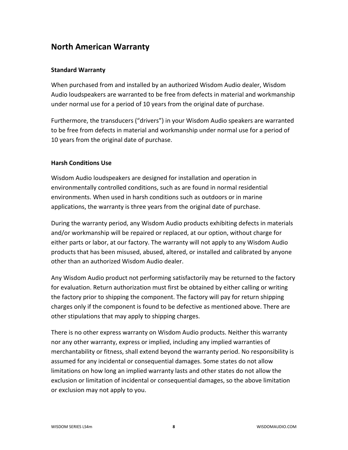## **North American Warranty**

### **Standard Warranty**

When purchased from and installed by an authorized Wisdom Audio dealer, Wisdom Audio loudspeakers are warranted to be free from defects in material and workmanship under normal use for a period of 10 years from the original date of purchase.

Furthermore, the transducers ("drivers") in your Wisdom Audio speakers are warranted to be free from defects in material and workmanship under normal use for a period of 10 years from the original date of purchase.

### **Harsh Conditions Use**

Wisdom Audio loudspeakers are designed for installation and operation in environmentally controlled conditions, such as are found in normal residential environments. When used in harsh conditions such as outdoors or in marine applications, the warranty is three years from the original date of purchase.

During the warranty period, any Wisdom Audio products exhibiting defects in materials and/or workmanship will be repaired or replaced, at our option, without charge for either parts or labor, at our factory. The warranty will not apply to any Wisdom Audio products that has been misused, abused, altered, or installed and calibrated by anyone other than an authorized Wisdom Audio dealer.

Any Wisdom Audio product not performing satisfactorily may be returned to the factory for evaluation. Return authorization must first be obtained by either calling or writing the factory prior to shipping the component. The factory will pay for return shipping charges only if the component is found to be defective as mentioned above. There are other stipulations that may apply to shipping charges.

There is no other express warranty on Wisdom Audio products. Neither this warranty nor any other warranty, express or implied, including any implied warranties of merchantability or fitness, shall extend beyond the warranty period. No responsibility is assumed for any incidental or consequential damages. Some states do not allow limitations on how long an implied warranty lasts and other states do not allow the exclusion or limitation of incidental or consequential damages, so the above limitation or exclusion may not apply to you.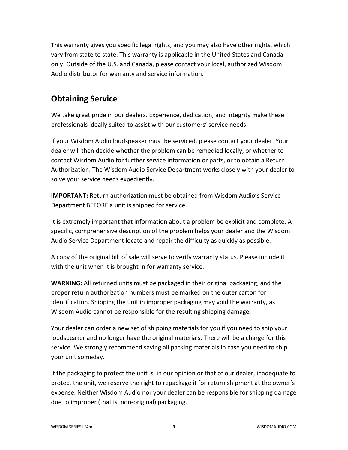This warranty gives you specific legal rights, and you may also have other rights, which vary from state to state. This warranty is applicable in the United States and Canada only. Outside of the U.S. and Canada, please contact your local, authorized Wisdom Audio distributor for warranty and service information.

## **Obtaining Service**

We take great pride in our dealers. Experience, dedication, and integrity make these professionals ideally suited to assist with our customers' service needs.

If your Wisdom Audio loudspeaker must be serviced, please contact your dealer. Your dealer will then decide whether the problem can be remedied locally, or whether to contact Wisdom Audio for further service information or parts, or to obtain a Return Authorization. The Wisdom Audio Service Department works closely with your dealer to solve your service needs expediently.

**IMPORTANT:** Return authorization must be obtained from Wisdom Audio's Service Department BEFORE a unit is shipped for service.

It is extremely important that information about a problem be explicit and complete. A specific, comprehensive description of the problem helps your dealer and the Wisdom Audio Service Department locate and repair the difficulty as quickly as possible.

A copy of the original bill of sale will serve to verify warranty status. Please include it with the unit when it is brought in for warranty service.

**WARNING:** All returned units must be packaged in their original packaging, and the proper return authorization numbers must be marked on the outer carton for identification. Shipping the unit in improper packaging may void the warranty, as Wisdom Audio cannot be responsible for the resulting shipping damage.

Your dealer can order a new set of shipping materials for you if you need to ship your loudspeaker and no longer have the original materials. There will be a charge for this service. We strongly recommend saving all packing materials in case you need to ship your unit someday.

If the packaging to protect the unit is, in our opinion or that of our dealer, inadequate to protect the unit, we reserve the right to repackage it for return shipment at the owner's expense. Neither Wisdom Audio nor your dealer can be responsible for shipping damage due to improper (that is, non-original) packaging.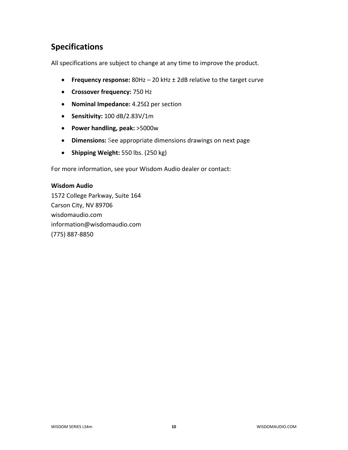# **Specifications**

All specifications are subject to change at any time to improve the product.

- **Frequency response:** 80Hz 20 kHz ± 2dB relative to the target curve
- **Crossover frequency:** 750 Hz
- **Nominal Impedance:** 4.25Ω per section
- **Sensitivity:** 100 dB/2.83V/1m
- **Power handling, peak:** >5000w
- **Dimensions:** See appropriate dimensions drawings on next page
- **Shipping Weight:** 550 lbs. (250 kg)

For more information, see your Wisdom Audio dealer or contact:

#### **Wisdom Audio**

1572 College Parkway, Suite 164 Carson City, NV 89706 wisdomaudio.com information@wisdomaudio.com (775) 887-8850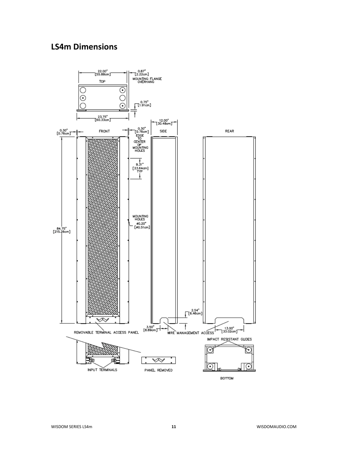## **LS4m Dimensions**